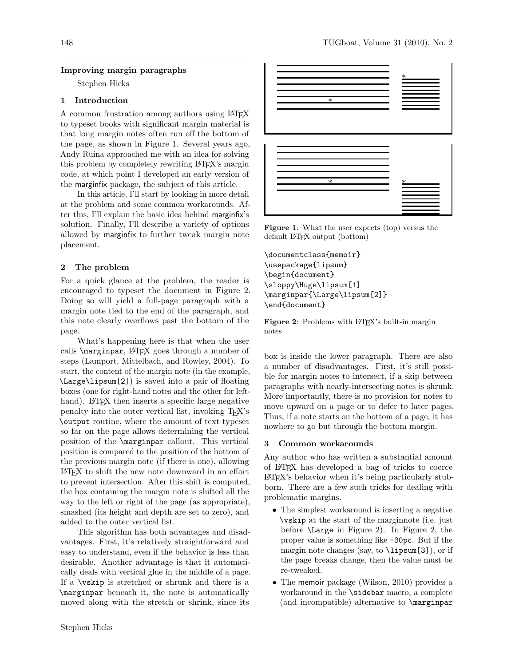### Improving margin paragraphs

Stephen Hicks

# 1 Introduction

A common frustration among authors using LATEX to typeset books with significant margin material is that long margin notes often run off the bottom of the page, as shown in Figure 1. Several years ago, Andy Ruina approached me with an idea for solving this problem by completely rewriting LATEX's margin code, at which point I developed an early version of the marginfix package, the subject of this article.

In this article, I'll start by looking in more detail at the problem and some common workarounds. After this, I'll explain the basic idea behind marginfix's solution. Finally, I'll describe a variety of options allowed by marginfix to further tweak margin note placement.

## 2 The problem

For a quick glance at the problem, the reader is encouraged to typeset the document in Figure 2. Doing so will yield a full-page paragraph with a margin note tied to the end of the paragraph, and this note clearly overflows past the bottom of the page.

What's happening here is that when the user calls **\marginpar**, LAT<sub>E</sub>X goes through a number of steps (Lamport, Mittelbach, and Rowley, 2004). To start, the content of the margin note (in the example, \Large\lipsum[2]) is saved into a pair of floating boxes (one for right-hand notes and the other for lefthand). LAT<sub>F</sub>X then inserts a specific large negative penalty into the outer vertical list, invoking TEX's \output routine, where the amount of text typeset so far on the page allows determining the vertical position of the \marginpar callout. This vertical position is compared to the position of the bottom of the previous margin note (if there is one), allowing LATEX to shift the new note downward in an effort to prevent intersection. After this shift is computed, the box containing the margin note is shifted all the way to the left or right of the page (as appropriate), smashed (its height and depth are set to zero), and added to the outer vertical list. Introduction<br>
1 and compare from the stretch or shown in spiring 1871pX<br>
In the base with significant margin and the base of the main in the stretch or<br>
the hoge, as shown in Figure 1. Several years a spice in<br>the long ma

This algorithm has both advantages and disadvantages. First, it's relatively straightforward and easy to understand, even if the behavior is less than desirable. Another advantage is that it automatically deals with vertical glue in the middle of a page. If a \vskip is stretched or shrunk and there is a \marginpar beneath it, the note is automatically



Figure 1: What the user expects (top) versus the default LATEX output (bottom)

\documentclass{memoir} \usepackage{lipsum} \begin{document} \sloppy\Huge\lipsum[1] \marginpar{\Large\lipsum[2]} \end{document}

Figure 2: Problems with LAT<sub>EX</sub>'s built-in margin notes

box is inside the lower paragraph. There are also a number of disadvantages. First, it's still possible for margin notes to intersect, if a skip between paragraphs with nearly-intersecting notes is shrunk. More importantly, there is no provision for notes to move upward on a page or to defer to later pages. Thus, if a note starts on the bottom of a page, it has nowhere to go but through the bottom margin.

#### 3 Common workarounds

Any author who has written a substantial amount of LATEX has developed a bag of tricks to coerce LATEX's behavior when it's being particularly stubborn. There are a few such tricks for dealing with problematic margins.

- The simplest workaround is inserting a negative \vskip at the start of the marginnote (i.e. just before \Large in Figure 2). In Figure 2, the proper value is something like -30pc. But if the margin note changes (say, to  $\langle$ **lipsum**[3]), or if the page breaks change, then the value must be re-tweaked.
- The memoir package (Wilson, 2010) provides a workaround in the \sidebar macro, a complete (and incompatible) alternative to \marginpar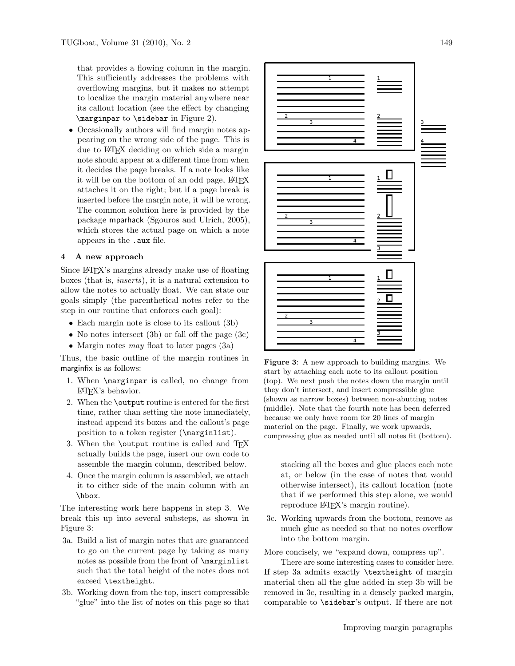that provides a flowing column in the margin. This sufficiently addresses the problems with overflowing margins, but it makes no attempt to localize the margin material anywhere near its callout location (see the effect by changing \marginpar to \sidebar in Figure 2).

• Occasionally authors will find margin notes appearing on the wrong side of the page. This is due to LATEX deciding on which side a margin note should appear at a different time from when it decides the page breaks. If a note looks like it will be on the bottom of an odd page, LAT<sub>EX</sub> attaches it on the right; but if a page break is inserted before the margin note, it will be wrong. The common solution here is provided by the package mparhack (Sgouros and Ulrich, 2005), which stores the actual page on which a note appears in the .aux file.

### 4 A new approach

Since LATEX's margins already make use of floating boxes (that is, inserts), it is a natural extension to allow the notes to actually float. We can state our goals simply (the parenthetical notes refer to the step in our routine that enforces each goal):

- Each margin note is close to its callout (3b)
- No notes intersect (3b) or fall off the page (3c)
- Margin notes *may* float to later pages  $(3a)$

Thus, the basic outline of the margin routines in marginfix is as follows:

- 1. When \marginpar is called, no change from  $\mathbb{P}\Gamma F X$ 's behavior.
- 2. When the \output routine is entered for the first time, rather than setting the note immediately, instead append its boxes and the callout's page position to a token register (\marginlist).
- 3. When the **\output** routine is called and T<sub>E</sub>X actually builds the page, insert our own code to assemble the margin column, described below.
- 4. Once the margin column is assembled, we attach it to either side of the main column with an \hbox.

The interesting work here happens in step 3. We break this up into several substeps, as shown in Figure 3:

- 3a. Build a list of margin notes that are guaranteed to go on the current page by taking as many notes as possible from the front of \marginlist such that the total height of the notes does not exceed \textheight.
- 3b. Working down from the top, insert compressible "glue" into the list of notes on this page so that



Figure 3: A new approach to building margins. We start by attaching each note to its callout position (top). We next push the notes down the margin until they don't intersect, and insert compressible glue (shown as narrow boxes) between non-abutting notes (middle). Note that the fourth note has been deferred because we only have room for 20 lines of margin material on the page. Finally, we work upwards, compressing glue as needed until all notes fit (bottom).

stacking all the boxes and glue places each note at, or below (in the case of notes that would otherwise intersect), its callout location (note that if we performed this step alone, we would reproduce L<sup>AT</sup>FX's margin routine).

3c. Working upwards from the bottom, remove as much glue as needed so that no notes overflow into the bottom margin.

More concisely, we "expand down, compress up".

There are some interesting cases to consider here. If step 3a admits exactly \textheight of margin material then all the glue added in step 3b will be removed in 3c, resulting in a densely packed margin, comparable to \sidebar's output. If there are not